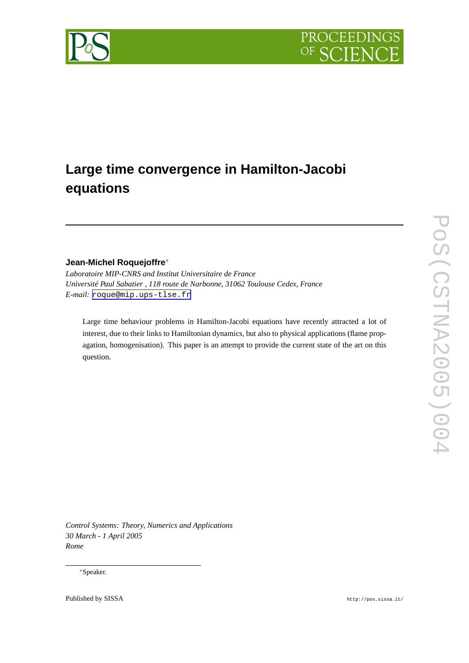



# **Large time convergence in Hamilton-Jacobi equations**

# **Jean-Michel Roquejoffre**<sup>∗</sup>

*Laboratoire MIP-CNRS and Institut Universitaire de France Université Paul Sabatier , 118 route de Narbonne, 31062 Toulouse Cedex, France E-mail:* [roque@mip.ups-tlse.fr](mailto:roque@mip.ups-tlse.fr)

Large time behaviour problems in Hamilton-Jacobi equations have recently attracted a lot of interest, due to their links to Hamiltonian dynamics, but also to physical applications (flame propagation, homogenisation). This paper is an attempt to provide the current state of the art on this question.

*Control Systems: Theory, Numerics and Applications 30 March - 1 April 2005 Rome*

<sup>∗</sup>Speaker.

Published by SISSA http://pos.sissa.it/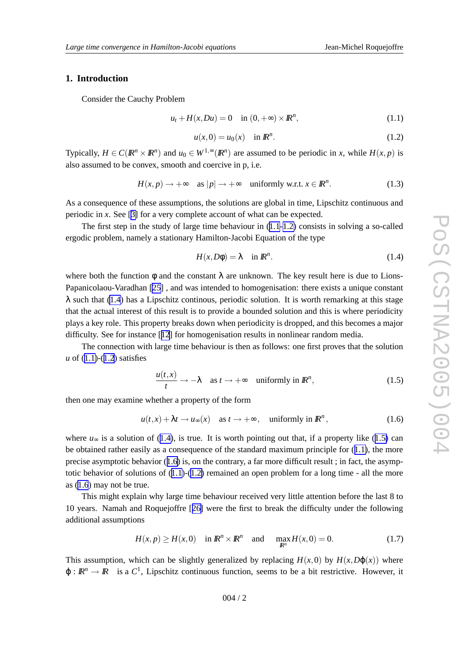## <span id="page-1-0"></span>**1. Introduction**

Consider the Cauch y Problem

$$
u_t + H(x, Du) = 0 \quad \text{in } (0, +\infty) \times \mathbb{R}^n,
$$
\n(1.1)

$$
u(x,0) = u_0(x) \quad \text{in } \mathbb{R}^n. \tag{1.2}
$$

Typically,  $H \in C(\mathbb{R}^n \times \mathbb{R}^n)$  and  $u_0 \in W^{1,\infty}(\mathbb{R}^n)$  are assumed to be periodic in *x*, while  $H(x, p)$  is also assumed to be convex, smooth and coercive in p, i.e.

$$
H(x,p) \to +\infty \quad \text{as } |p| \to +\infty \quad \text{uniformly w.r.t. } x \in \mathbb{R}^n. \tag{1.3}
$$

As a consequence of these assumptions, the solutions are global in time, Lipschitz continuous and periodic in x. See [\[3](#page-13-0)] for a very complete account of what can be expected.

The first step in the study of large time behaviour in (1.1-1.2 ) consists in solving a so-called ergodic problem, namely a stationary Hamilton-Jacobi Equation of the type

$$
H(x, D\phi) = \lambda \quad \text{in } \mathbb{R}^n. \tag{1.4}
$$

where both the function  $\phi$  and the constant  $\lambda$  are unknown. The key result here is due to Lions-Papanicolaou-Varadhan [\[25](#page-14-0)] , and was intended to homogenisation: there exists a unique constant  $\lambda$  such that (1.4) has a Lipschitz continous, periodic solution. It is worth remarking at this stage that the actual interest of this result is to provide a bounded solution and this is where periodicity plays a k e y role. This property breaks down when periodicity is dropped, and this becomes a major difficulty . See for instance [[12](#page-13-0) ] for homogenisation results in nonlinear random media.

The connection with large time behaviour is then as follows: one first proves that the solution *u* of (1.1)-(1.2) satisfies

$$
\frac{u(t,x)}{t} \to -\lambda \quad \text{as } t \to +\infty \quad \text{uniformly in } \mathbb{R}^n,
$$
 (1.5)

then one may examine whether a property of the form

$$
u(t,x) + \lambda t \to u_{\infty}(x) \quad \text{as } t \to +\infty, \quad \text{uniformly in } \mathbb{R}^n,
$$
 (1.6)

where  $u_{\infty}$  is a solution of (1.4), is true. It is worth pointing out that, if a property like (1.5) can be obtained rather easily as a consequence of the standard maximum principle for (1.1), the more precise asymptotic behavior (1.6) is, on the contrary, a far more difficult result; in fact, the asymptotic behavior of solutions of  $(1.1)-(1.2)$  remained an open problem for a long time - all the more as (1.6 ) may not be true.

This might explain wh y large time behaviour recei ved very little attention before the last 8 to 10 years. Namah and Roquejoffre [[26](#page-14-0) ] were the first to break the difficulty under the following additional assumptions

$$
H(x,p) \ge H(x,0) \quad \text{in } \mathbb{R}^n \times \mathbb{R}^n \quad \text{and} \quad \max_{\mathbb{R}^n} H(x,0) = 0. \tag{1.7}
$$

This assumption, which can be slightly generalized by replacing  $H(x,0)$  by  $H(x,D\varphi(x))$  where  $\varphi : \mathbb{R}^n \to \mathbb{R}$  is a  $C^1$ , Lipschitz continuous function, seems to be a bit restrictive. However, it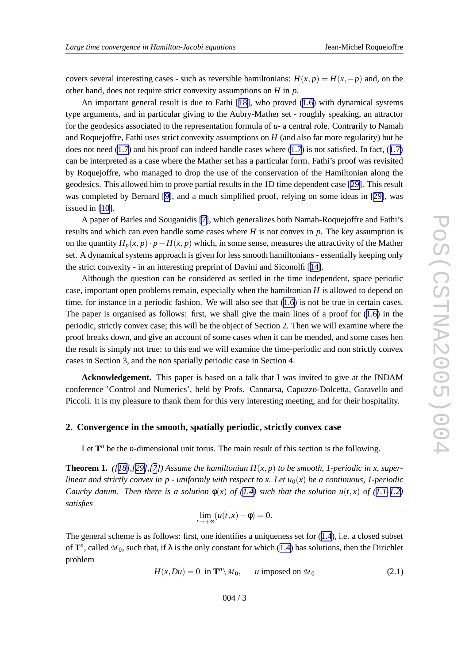<span id="page-2-0"></span>covers several interesting cases - such as reversible hamiltonians:  $H(x,p) = H(x,-p)$  and, on the other hand, does not require strict conv exity assumptions on *H* in *p* .

An important general result is due to Fathi [[18\]](#page-13-0), who proved ([1.6](#page-1-0)) with dynamical systems type arguments, and in particular giving to the Aubry-Mather set - roughly speaking, an attractor for the geodesics associated to the representation formula of *u* - a central role. Contrarily to Namah and Roquejoffre, Fathi uses strict convexity assumptions on  $H$  (and also far more regularity) but he does not need [\(1.7](#page-1-0)) and his proof can indeed handle cases where ([1.7](#page-1-0)) is not satisfied. In fact, (1.7) can be interpreted as a case where the Mather set has a particular form. Fathi' s proof was revisited by Roquejoffre, who managed to drop the use of the conservation of the Hamiltonian along the geodesics. This allowed him to pro v e partial results in the 1D time dependent case [[29\]](#page-14-0). This result was completed by Bernard [\[9\]](#page-13-0), and a much simplified proof, relying on some ideas in [[29\]](#page-14-0), was issued in [\[10](#page-13-0)].

A paper of Barles and Souganidis [\[7\]](#page-13-0), which generalizes both Namah-Roquejoffre and Fathi' s results and which can even handle some cases where  $H$  is not convex in  $p$ . The key assumption is on the quantity  $H_p(x, p) \cdot p - H(x, p)$  which, in some sense, measures the attractivity of the Mather set. A dynamical systems approach is given for less smooth hamiltonians - essentially keeping only the strict convexity - in an interesting preprint of Davini and Siconolfi [[14\]](#page-13-0).

Although the question can be considered as settled in the time independent, space periodic case, important open problems remain, especially when the hamiltonian *H* is allowed to depend on time, for instance in a periodic fashion. We will also see that ([1.6](#page-1-0) ) is not be true in certain cases. The paper is organised as follows: first, we shall give the main lines of a proof for ([1.6](#page-1-0)) in the periodic, strictly convex case; this will be the object of Section 2. Then we will examine where the proof breaks down, and give an account of some cases when it can be mended, and some cases hen the result is simply not true: to this end we will examine the time-periodic and non strictly conv e x cases in Section 3, and the non spatially periodic case in Section 4.

Acknowledgement. This paper is based on a talk that I was invited to give at the INDAM conference 'Control and Numerics', held by Profs. Cannarsa, Capuzzo-Dolcetta, Gara vello and Piccoli. It is my pleasure to thank them for this very interesting meeting, and for their hospitality.

# **2. Convergence in the smooth, spatially periodic, strictly convex case**

Let  $\mathbf{T}^n$  be the *n*-dimensional unit torus. The main result of this section is the following.

**Theorem 1.** ([[18\]](#page-13-0),[[29\]](#page-14-0),[[7](#page-13-0)]) Assume the hamiltonian  $H(x,p)$  to be smooth, 1-periodic in x, superlinear and strictly convex in  $p$  - uniformly with respect to x. Let  $u_0(x)$  be a continuous, 1-periodic Cauchy datum. Then there is a solution  $\phi(x)$  of [\(1.4](#page-1-0)) such that the solution  $u(t,x)$  of ([1.1-1.2](#page-1-0)) *satisfies*

$$
\lim_{t \to +\infty} (u(t,x) - \phi) = 0.
$$

The general scheme is as follows: first, one identifies a uniqueness set for ([1.4\)](#page-1-0), i.e. a closed subset of  $\mathbf{T}^n$ , called  $\mathcal{M}_0$ , such that, if  $\lambda$  is the only constant for which ([1.4](#page-1-0)) has solutions, then the Dirichlet problem

$$
H(x, Du) = 0 \text{ in } \mathbf{T}^n \backslash \mathcal{M}_0, \qquad u \text{ imposed on } \mathcal{M}_0 \tag{2.1}
$$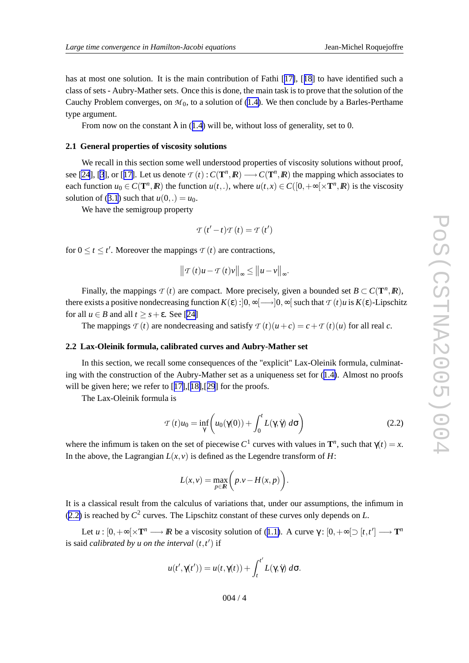From now on the constant  $\lambda$  in ([1.4](#page-1-0)) will be, without loss of generality, set to 0.

#### **2.1 General properties of viscosity solutions**

type argument.

We recall in this section some well understood properties of viscosity solutions without proof, see [\[24](#page-14-0)], [[3](#page-13-0)], or [[17\]](#page-13-0). Let us denote  $\mathcal{T}(t): C(\mathbf{T}^n, \mathbf{R}) \longrightarrow C(\mathbf{T}^n, \mathbf{R})$  the mapping which associates to each function  $u_0 \in C(\mathbf{T}^n, \mathbf{R})$  the function  $u(t,.)$ , where  $u(t,x) \in C([0, +\infty[\times \mathbf{T}^n, \mathbf{R})$  is the viscosity solution of ([3.1](#page-6-0)) such that  $u(0,.) = u_0$ .

Cauchy Problem converges, on  $M_0$ , to a solution of ([1.4\)](#page-1-0). We then conclude by a Barles-Perthame

We have the semigroup property

$$
\mathcal{T}(t'-t)\mathcal{T}(t) = \mathcal{T}(t')
$$

for  $0 \le t \le t'$ . Moreover the mappings  $\tau(t)$  are contractions,

$$
\left\|T(t)u - T(t)v\right\|_{\infty} \leq \left\|u - v\right\|_{\infty}.
$$

Finally, the mappings  $\mathcal{T}(t)$  are compact. More precisely, given a bounded set  $B \subset C(\mathbf{T}^n, \mathbb{R})$ , there exists a positive nondecreasing function  $K(\epsilon):]0,\infty[\longrightarrow]0,\infty[$  such that  $\tau$   $(t)u$  is  $K(\epsilon)$ -Lipschitz for all  $u \in B$  and all  $t \geq s + \varepsilon$ . See [[24](#page-14-0)]

The mappings  $\tau(t)$  are nondecreasing and satisfy  $\tau(t)(u+c) = c + \tau(t)(u)$  for all real c.

#### **2.2 Lax-Oleinik formula, calibrated cur ves and Aubry-Mather set**

In this section, we recall some consequences of the "explicit" Lax-Oleinik formula, culminating with the construction of the Aubry-Mather set as a uniqueness set for  $(1.4)$  $(1.4)$ . Almost no proofs will be given here; we refer to [[17\]](#page-13-0), [[18\]](#page-13-0), [[29](#page-14-0)] for the proofs.

The Lax-Oleinik formula is

$$
\mathcal{T}(t)u_0 = \inf_{\gamma} \left( u_0(\gamma(0)) + \int_0^t L(\gamma, \dot{\gamma}) \, d\sigma \right) \tag{2.2}
$$

where the infimum is taken on the set of piecewise  $C^1$  curves with values in  $\mathbf{T}^n$ , such that  $\gamma(t) = x$ . In the above, the Lagrangian  $L(x, y)$  is defined as the Legendre transform of  $H$ :

$$
L(x, v) = \max_{p \in \mathbb{R}} \left( p.v - H(x, p) \right).
$$

It is a classical result from the calculus of variations that, under our assumptions, the infimum in (2.2) is reached by  $C^2$  curves. The Lipschitz constant of these curves only depends on L.

Let  $u:[0,+\infty[\times T^n \longrightarrow \mathbb{R}$  be a viscosity solution of ([1.1\)](#page-1-0). A curve  $\gamma:[0,+\infty[\supset [t,t'] \longrightarrow T^n$ is said *calibrated* by *u* on the *interval*  $(t, t')$  if

$$
u(t',\gamma(t')) = u(t,\gamma(t)) + \int_t^{t'} L(\gamma,\dot{\gamma}) d\sigma.
$$

004 / 4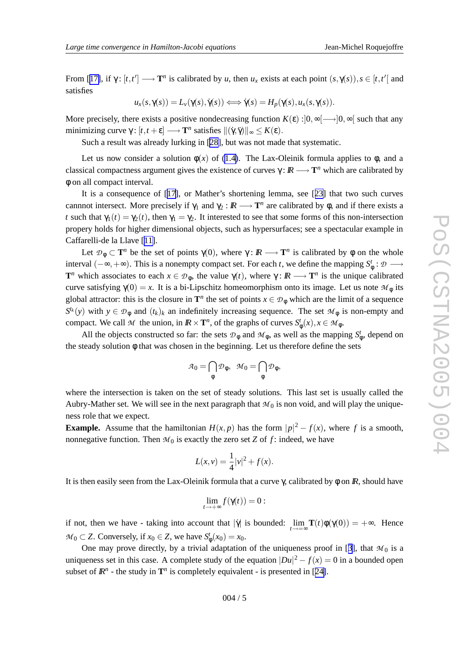From [[17\]](#page-13-0), if  $\gamma$ :  $[t, t'] \longrightarrow \mathbf{T}^n$  is calibrated by *u*, then  $u_x$  exists at each point  $(s, \gamma(s)), s \in [t, t']$  and satisfies

$$
u_x(s,\gamma(s)) = L_\nu(\gamma(s),\dot{\gamma}(s)) \Longleftrightarrow \dot{\gamma}(s) = H_p(\gamma(s),u_x(s,\gamma(s)).
$$

More precisely, there exists a positive nondecreasing function  $K(\varepsilon):]0,\infty[\longrightarrow]0,\infty[$  such that any minimizing curve  $\gamma : [t, t + \varepsilon] \longrightarrow \mathbf{T}^n$  satisfies  $\|(\dot{\gamma}, \ddot{\gamma})\|_{\infty} \leq K(\varepsilon)$ .

Such a result was already lurking in [\[28\]](#page-14-0), but was not made that systematic.

Let us now consider a solution  $\phi(x)$  of [\(1.4\)](#page-1-0). The Lax-Oleinik formula applies to  $\phi$ , and a classical compactness argument gives the existence of curves  $\gamma : \mathbb{R} \longrightarrow \mathbb{T}^n$  which are calibrated by φ on all compact interval.

It is a consequence of [[17\]](#page-13-0), or Mather's shortening lemma, see [[23](#page-14-0)] that two such curves cannnot intersect. More precisely if  $\gamma_1$  and  $\gamma_2 : \mathbb{R} \longrightarrow \mathbb{T}^n$  are calibrated by  $\phi$ , and if there exists a *t* such that  $\gamma_1(t) = \gamma_2(t)$ , then  $\gamma_1 = \gamma_2$ . It interested to see that some forms of this non-intersection propery holds for higher dimensional objects, such as hypersurfaces; see a spectacular example in Caffarelli-de la Llave [[11\]](#page-13-0).

Let  $\mathcal{D}_{\phi} \subset \mathbf{T}^n$  be the set of points  $\gamma(0)$ , where  $\gamma: \mathbb{R} \longrightarrow \mathbf{T}^n$  is calibrated by  $\phi$  on the whole interval  $(-\infty, +\infty)$ . This is a nonempty compact set. For each *t*, we define the mapping  $S^t_{\phi} : \mathcal{D} \longrightarrow$ **T**<sup>*n*</sup> which associates to each  $x \in \mathcal{D}_{\phi}$ , the value  $\gamma(t)$ , where  $\gamma : \mathbb{R} \longrightarrow \mathbb{T}^n$  is the unique calibrated curve satisfying  $\gamma(0) = x$ . It is a bi-Lipschitz homeomorphism onto its image. Let us note  $\mathcal{M}_{\phi}$  its global attractor: this is the closure in  $\mathbf{T}^n$  the set of points  $x \in \mathcal{D}_{\phi}$  which are the limit of a sequence  $S^{t_k}(y)$  with  $y \in \mathcal{D}_{\phi}$  and  $(t_k)_k$  an indefinitely increasing sequence. The set  $\mathcal{M}_{\phi}$  is non-empty and compact. We call M the union, in  $\mathbb{R} \times \mathbb{T}^n$ , of the graphs of curves  $S^t_{\phi}(x), x \in \mathcal{M}_{\phi}$ .

All the objects constructed so far: the sets  $\mathcal{D}_{\phi}$  and  $\mathcal{M}_{\phi}$ , as well as the mapping  $S_{\phi}^t$ , depend on the steady solution φ that was chosen in the beginning. Let us therefore define the sets

$$
\mathcal{A}_0 = \bigcap_{\phi} \mathcal{D}_{\phi}, \ \ \mathcal{M}_0 = \bigcap_{\phi} \mathcal{D}_{\phi},
$$

where the intersection is taken on the set of steady solutions. This last set is usually called the Aubry-Mather set. We will see in the next paragraph that  $M_0$  is non void, and will play the uniqueness role that we expect.

**Example.** Assume that the hamiltonian  $H(x, p)$  has the form  $|p|^2 - f(x)$ , where f is a smooth, nonnegative function. Then  $M_0$  is exactly the zero set *Z* of *f*: indeed, we have

$$
L(x, v) = \frac{1}{4}|v|^2 + f(x).
$$

It is then easily seen from the Lax-Oleinik formula that a curve  $\gamma$ , calibrated by  $\phi$  on  $\mathbb{R}$ , should have

$$
\lim_{t\to+\infty}f(\mathbf{Y}(t))=0:
$$

if not, then we have - taking into account that  $|\dot{\gamma}|$  is bounded:  $\lim_{t \to \infty} \mathbf{T}(t)\phi(\gamma(0)) = +\infty$ . Hence  $M_0 \subset Z$ . Conversely, if  $x_0 \in Z$ , we have  $S^t_{\phi}(x_0) = x_0$ .

One may prove directly, by a trivial adaptation of the uniqueness proof in [[3\]](#page-13-0), that  $\mathcal{M}_0$  is a uniqueness set in this case. A complete study of the equation  $|Du|^2 - f(x) = 0$  in a bounded open subset of  $\mathbb{R}^n$  - the study in  $\mathbf{T}^n$  is completely equivalent - is presented in [[24\]](#page-14-0).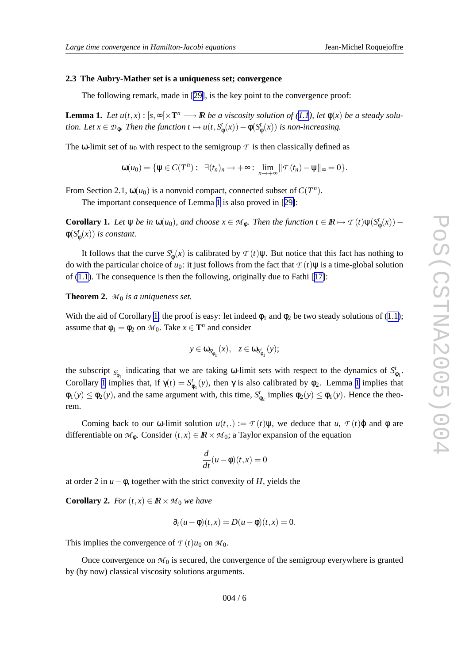#### <span id="page-5-0"></span>**2.3 The Aubry-Mather set is a uniqueness set; convergence**

The following remark, made in [[29\]](#page-14-0), is the key point to the convergence proof:

**Lemma 1.** Let  $u(t,x): [s,\infty[\times T^n \longrightarrow \mathbb{R} \text{ be a viscosity solution of } (1.1), \text{ let } \phi(x) \text{ be a steady solution.}$  $u(t,x): [s,\infty[\times T^n \longrightarrow \mathbb{R} \text{ be a viscosity solution of } (1.1), \text{ let } \phi(x) \text{ be a steady solution.}$  $u(t,x): [s,\infty[\times T^n \longrightarrow \mathbb{R} \text{ be a viscosity solution of } (1.1), \text{ let } \phi(x) \text{ be a steady solution.}$ *tion. Let*  $x \in \mathcal{D}_{\phi}$ *. Then the function*  $t \mapsto u(t, S^t_{\phi}(x)) - \phi(S^t_{\phi}(x))$  *is non-increasing.* 

The  $\omega$ -limit set of  $u_0$  with respect to the semigroup  $\tau$  is then classically defined as

$$
\omega(u_0)=\{\psi\in C(T^n): \ \exists (t_n)_n\to+\infty: \ \lim_{n\to+\infty}||\mathcal{T}(t_n)-\psi||_{\infty}=0\}.
$$

From Section 2.1,  $\omega(u_0)$  is a nonvoid compact, connected subset of  $C(T^n)$ .

The important consequence of Lemma 1 is also pro ved in [[29\]](#page-14-0):

**Corollary 1.** Let  $\psi$  be in  $\omega(u_0)$ , and choose  $x \in \mathcal{M}_{\phi}$ . Then the function  $t \in \mathbb{R} \mapsto \mathcal{T}(t)\psi(S_{\phi}^t(x))$  –  $\phi(S^t_{\phi}(x))$  *is constant.* 

It follows that the curve  $S^t_{\phi}(x)$  is calibrated by  $\mathcal{T}(t)\psi$ . But notice that this fact has nothing to do with the particular choice of  $u_0$ : it just follows from the fact that  $\tau$   $(t)\psi$  is a time-global solution of ([1.1](#page-1-0)). The consequence is then the following, originally due to Fathi [[17\]](#page-13-0):

**Theorem 2.** *M* <sup>0</sup> *is a uniqueness set.*

With the aid of Corollary 1, the proof is easy: let indeed  $\phi_1$  and  $\phi_2$  be two steady solutions of ([1.1](#page-1-0)); assume that  $\phi_1 = \phi_2$  on  $\mathcal{M}_0$ . Take  $x \in \mathbf{T}^n$  and consider

$$
y\in \omega_{S_{\varphi_1}^t}(x),\quad z\in \omega_{S_{\varphi_1}^t}(y);
$$

the subscript  $S_{\phi_1}$  indicating that we are taking  $\omega$ -limit sets with respect to the dynamics of  $S_{\phi_1}^t$ . Corollary 1 implies that, if  $\gamma(t) = S_{\phi_1}^t(y)$ , then  $\gamma$  is also calibrated by  $\phi_2$ . Lemma 1 implies that  $\phi_1(y) \leq \phi_2(y)$ , and the same argument with, this time,  $S_{\phi_2}^t$  implies  $\phi_2(y) \leq \phi_1(y)$ . Hence the theorem.

Coming back to our  $\omega$ -limit solution  $u(t,.) := \mathcal{T}(t)\psi$ , we deduce that  $u, \mathcal{T}(t)\varphi$  and  $\varphi$  are differentiable on  $\mathcal{M}_{\phi}$ . Consider  $(t, x) \in \mathbb{R} \times \mathcal{M}_0$ ; a Taylor expansion of the equation

$$
\frac{d}{dt}(u-\phi)(t,x)=0
$$

at order 2 in  $u - \phi$ , together with the strict convexity of *H*, yields the

**Corollary 2.** For  $(t, x) \in \mathbb{R} \times M_0$  we have

$$
\partial_t (u - \phi)(t, x) = D(u - \phi)(t, x) = 0.
$$

This implies the convergence of  $\tau(t)u_0$  on  $\mathcal{M}_0$ .

Once convergence on  $M_0$  is secured, the convergence of the semigroup everywhere is granted by (by now) classical viscosity solutions arguments.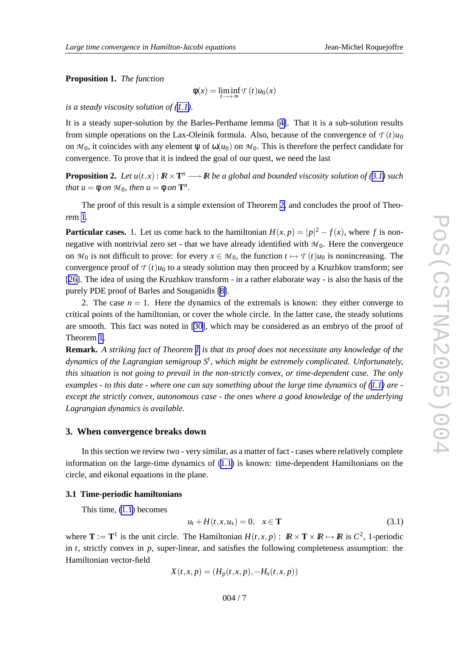#### <span id="page-6-0"></span>**Proposition 1.** *The function*

$$
\phi(x) = \liminf_{t \to +\infty} T(t)u_0(x)
$$

*is a steady viscosity solution of ([1.1\)](#page-1-0).*

It is a steady super-solution by the Barles-Perthame lemma [[4\]](#page-13-0). That it is a sub-solution results from simple operations on the Lax-Oleinik formula. Also, because of the convergence of  $T(t)u_0$ on  $M_0$ , it coincides with any element  $\psi$  of  $\omega(u_0)$  on  $M_0$ . This is therefore the perfect candidate for convergence. To prove that it is indeed the goal of our quest, we need the last

**Proposition 2.** Let  $u(t,x): \mathbb{R} \times \mathbb{T}^n \longrightarrow \mathbb{R}$  be a global and bounded viscosity solution of (3.1) such *that*  $u = \phi$  *on*  $M_0$ *, then*  $u = \phi$  *on*  $\mathbf{T}^n$ *.* 

The proof of this result is a simple extension of Theorem [2](#page-5-0) , and concludes the proof of Theorem [1](#page-2-0).

**Particular cases.** 1. Let us come back to the hamiltonian  $H(x, p) = |p|^2 - f(x)$ , where *f* is nonnegative with nontrivial zero set - that we have already identified with  $M_0$ . Here the convergence on  $M_0$  is not difficult to prove: for every  $x \in M_0$ , the function  $t \mapsto T(t)u_0$  is nonincreasing. The convergence proof of  $\tau\left( t\right) u_{0}$  to a steady solution may then proceed by a Kruzhkov transform; see [[26\]](#page-14-0). The idea of using the Kruzhkov transform - in a rather elaborate way - is also the basis of the purely PDE proof of Barles and Souganidis [\[8\]](#page-13-0).

2. The case  $n = 1$ . Here the dynamics of the extremals is known: they either converge to critical points of the hamiltonian, or co ver the whole circle. In the latter case, the steady solutions are smooth. This fact was noted in [\[30\]](#page-14-0), which may be considered as an embryo of the proof of Theorem [1](#page-2-0) .

**Remark.** A striking fact of Theorem [1](#page-2-0) is that its proof does not necessitate any knowledge of the *dynamics of the Lagrangian semigroup S t , whic h might be extremely complicated. Unfortunately, this situation is not going to prevail in the non-strictly convex, or time-dependent case . The only* examples - to this date - where one can say something about the large time dynamics of  $(1.1)$  $(1.1)$  $(1.1)$  are *except the strictly convex, autonomous case - the ones where a good knowledg e of the underlying Lagrangian dynamics is available .*

#### **3. When convergence breaks down**

In this section we review two - very similar, as a matter of fact - cases where relatively complete information on the large-time dynamics of [\(1.1](#page-1-0) ) is known: time-dependent Hamiltonians on the circle, and eikonal equations in the plane.

#### **3.1 Time-periodic hamiltonians**

This time, [\(1.1](#page-1-0) ) becomes

$$
u_t + H(t, x, u_x) = 0, \quad x \in \mathbf{T}
$$
\n
$$
(3.1)
$$

where  $\mathbf{T} := \mathbf{T}^1$  is the unit circle. The Hamiltonian  $H(t, x, p) : \mathbb{R} \times \mathbf{T} \times \mathbb{R} \mapsto \mathbb{R}$  is  $C^2$ , 1-periodic in  $t$ , strictly convex in  $p$ , super-linear, and satisfies the following completeness assumption: the Hamiltonian vector-field

$$
X(t, x, p) = (H_p(t, x, p), -H_x(t, x, p))
$$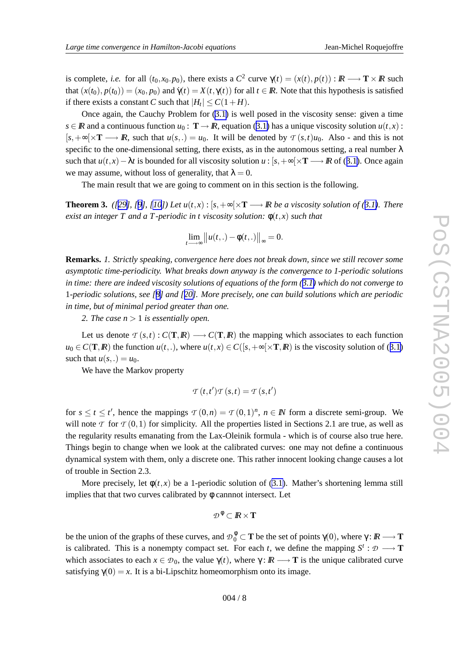<span id="page-7-0"></span>is complete, *i.e.* for all  $(t_0, x_0, p_0)$ , there exists a  $C^2$  curve  $\gamma(t) = (x(t), p(t)) : \mathbb{R} \longrightarrow \mathbb{T} \times \mathbb{R}$  such that  $(x(t_0), p(t_0)) = (x_0, p_0)$  and  $\dot{\gamma}(t) = X(t, \gamma(t))$  for all  $t \in \mathbb{R}$ . Note that this hypothesis is satisfied if there exists a constant *C* such that  $|H_t| \le C(1+H)$ .

Once again, the Cauchy Problem for ([3.1](#page-6-0)) is well posed in the viscosity sense: given a time  $s \in \mathbb{R}$  and a continuous function  $u_0: \mathbf{T} \to \mathbb{R}$ , equation ([3.1](#page-6-0)) has a unique viscosity solution  $u(t, x)$ :  $[s, +\infty[\times T \longrightarrow R]$ , such that  $u(s, .) = u_0$ . It will be denoted by  $\tau(s, t)u_0$ . Also - and this is not specific to the one-dimensional setting, there exists, as in the autonomous setting, a real number λ such that  $u(t, x) - \lambda t$  is bounded for all viscosity solution  $u : [s, +\infty[ \times T \longrightarrow \mathbb{R}$  of ([3.1\)](#page-6-0). Once again we may assume, without loss of generality, that  $\lambda = 0$ .

The main result that we are going to comment on in this section is the following.

**Theorem 3.** ([[29\]](#page-14-0), [[9](#page-13-0)], [\[10](#page-13-0)]) Let  $u(t,x): [s,+\infty[\times T \longrightarrow \mathbb{R} \text{ be a viscosity solution of (3.1). There}$  $u(t,x): [s,+\infty[\times T \longrightarrow \mathbb{R} \text{ be a viscosity solution of (3.1). There}$  $u(t,x): [s,+\infty[\times T \longrightarrow \mathbb{R} \text{ be a viscosity solution of (3.1). There}$ *exist an integer*  $T$  *and a*  $T$ -periodic in  $t$  viscosity solution:  $\phi(t,x)$  such that

$$
\lim_{t\longrightarrow\infty}||u(t,.)-\phi(t,.)||_{\infty}=0.
$$

**Remarks.** *1. Strictly speaking , convergence here does not break down, since we still recover some asymptotic time-periodicity. What breaks down anyway is the convergence to 1-periodic solutions* in time: there are indeed viscosity solutions of equations of the form  $(3.1)$  $(3.1)$  $(3.1)$  which do not converge to 1-periodic solutions, see [[8](#page-13-0)] and [[20\]](#page-13-0). More precisely, one can build solutions which are periodic *in time , but of minimal period greater than one .*

2. The case  $n > 1$  is essentially open.

Let us denote  $\tau(s,t): C(T,R) \longrightarrow C(T,R)$  the mapping which associates to each function  $u_0 \in C(\mathbf{T}, \mathbf{R})$  the function  $u(t,.)$ , where  $u(t, x) \in C([s, +\infty[\times \mathbf{T}, \mathbf{R})]$  is the viscosity solution of ([3.1](#page-6-0)) such that  $u(s,.) = u_0$ .

We have the Markov property

$$
\mathcal{T}(t,t')\mathcal{T}(s,t) = \mathcal{T}(s,t')
$$

for  $s \le t \le t'$ , hence the mappings  $\mathcal{T}(0,n) = \mathcal{T}(0,1)^n$ ,  $n \in \mathbb{N}$  form a discrete semi-group. We will note  $\mathcal T$  for  $\mathcal T(0,1)$  for simplicity. All the properties listed in Sections 2.1 are true, as well as the regularity results emanating from the Lax-Oleinik formula - which is of course also true here. Things begin to change when we look at the calibrated curves: one may not define a continuous dynamical system with them, only a discrete one. This rather innocent looking change causes a lot of trouble in Section 2.3.

More precisely, let  $\phi(t, x)$  be a 1-periodic solution of ([3.1\)](#page-6-0). Mather's shortening lemma still implies that that tw o curves calibrated by φ cannnot intersect. Let

$$
\mathcal{D}^\,\emptyset \subset I\!\!R \times \mathbf{T}
$$

be the union of the graphs of these curves, and  $\mathcal{D}_0^{\phi}$  $\gamma_0^{\varphi}$  ⊂ **T** be the set of points  $\gamma$ (0), where  $\gamma : \mathbb{R} \longrightarrow$  **T** is calibrated. This is a nonempty compact set. For each t, we define the mapping  $S^t : \mathcal{D} \longrightarrow \mathbf{T}$ which associates to each  $x \in \mathcal{D}_0$ , the value  $\gamma(t)$ , where  $\gamma: \mathbb{R} \longrightarrow \mathbb{T}$  is the unique calibrated curve satisfying  $\gamma(0) = x$ . It is a bi-Lipschitz homeomorphism onto its image.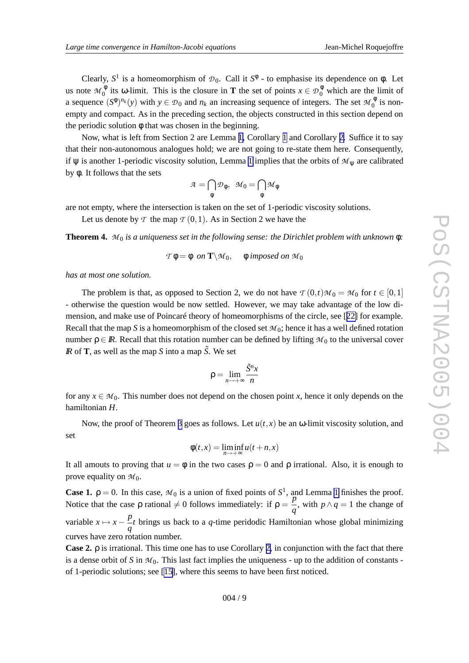Clearly,  $S^1$  is a homeomorphism of  $\mathcal{D}_0$ . Call it  $S^{\phi}$  - to emphasise its dependence on  $\phi$ . Let us note  $\mathcal{M}_0^{\phi}$  $\phi_0^{\phi}$  its  $\omega$ -limit. This is the closure in **T** the set of points  $x \in D_0^{\phi}$  which are the limit of a sequence  $(S^{\phi})^{n_k}(y)$  with  $y \in \mathcal{D}_0$  and  $n_k$  an increasing sequence of integers. The set  $\mathcal{M}_0^{\phi}$  $_{0}^{\varphi}$  is nonempty and compact. As in the preceding section, the objects constructed in this section depend on the periodic solution φ that was chosen in the beginning.

Now, what is left from Section 2 are Lemma [1](#page-5-0), Corollary 1 and Corollary [2](#page-5-0). Suffice it to say that their non-autonomous analogues hold; we are not going to re-state them here. Consequently , if  $\psi$  is another [1](#page-5-0)-periodic viscosity solution, Lemma 1 implies that the orbits of  $\mathcal{M}_{\psi}$  are calibrated by φ . It follows that the sets

$$
\mathcal{A} = \bigcap_{\phi} \mathcal{D}_{\phi}, \ \ \mathcal{M}_0 = \bigcap_{\phi} \mathcal{M}_{\phi}
$$

are not empty , where the intersection is taken on the set of 1-periodic viscosity solutions.

Let us denote by  $\mathcal T$  the map  $\mathcal T(0,1)$ . As in Section 2 we have the

**Theorem 4.** *M* <sup>0</sup> *is a uniqueness set in the following sense: the Dirichlet problem with unknown* φ *:*

 $\mathcal{T} \phi = \phi$  *on*  $\mathbf{T} \setminus \mathcal{M}_0$ ,  $\phi$  *imposed on*  $\mathcal{M}_0$ 

*has at most one solution.*

The problem is that, as opposed to Section 2, we do not have  $\tau(0,t)M_0 = M_0$  for  $t \in [0,1]$ - otherwise the question would be now settled. However, we may take advantage of the low dimension, and make use of Poincaré theory of homeomorphisms of the circle, see [[22\]](#page-13-0) for example. Recall that the map S is a homeomorphism of the closed set  $M_0$ ; hence it has a well defined rotation number  $\rho \in \mathbb{R}$ . Recall that this rotation number can be defined by lifting  $\mathcal{M}_0$  to the universal cover *IR* of **T**, as well as the map *S* into a map  $\tilde{S}$ . We set

$$
\rho=\lim_{n\to+\infty}\frac{\tilde{S}^nx}{n}
$$

for any  $x \in M_0$ . This number does not depend on the chosen point x, hence it only depends on the hamiltonian *H* .

Now, the proof of Theorem [3](#page-7-0) goes as follows. Let  $u(t, x)$  be an  $\omega$ -limit viscosity solution, and set

$$
\phi(t,x) = \liminf_{n \to +\infty} u(t+n,x)
$$

It all amouts to proving that  $u = \phi$  in the two cases  $\rho = 0$  and  $\rho$  irrational. Also, it is enough to prove equality on  $\mathcal{M}_0$ .

**Case [1](#page-5-0).**  $\rho = 0$ . In this case,  $M_0$  is a union of fixed points of  $S^1$ , and Lemma 1 finishes the proof. Notice that the case  $\rho$  rational  $\neq 0$  follows immediately: if  $\rho = \frac{p}{q}$ , with  $p \wedge q = 1$  the change of variable  $x \mapsto x - \frac{p}{q}t$  brings us back to a q-time peridodic Hamiltonian whose global minimizing curves ha v e zero rotation number .

**Case 2.** ρ is irrational. This time one has to use Corollary [2](#page-5-0) , in conjunction with the fact that there is a dense orbit of S in  $M_0$ . This last fact implies the uniqueness - up to the addition of constants -of 1-periodic solutions; see [\[15\]](#page-13-0), where this seems to have been first noticed.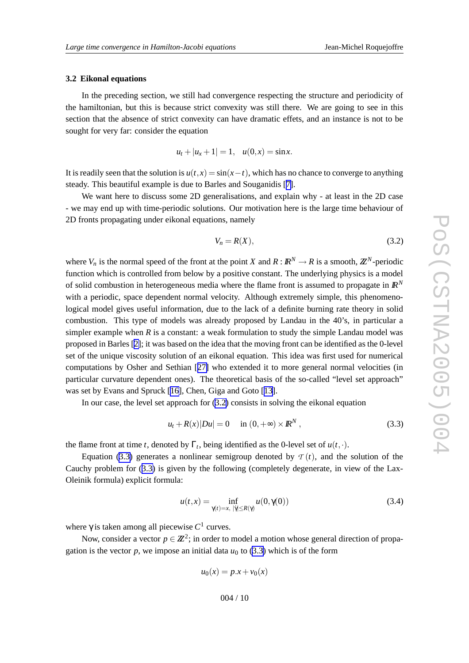#### <span id="page-9-0"></span>**3.2 Eikonal equations**

In the preceding section, we still had convergence respecting the structure and periodicity of the hamiltonian, but this is because strict convexity was still there. We are going to see in this section that the absence of strict convexity can have dramatic effets, and an instance is not to be sought for very far: consider the equation

 $u_t + |u_x + 1| = 1, \quad u(0, x) = \sin x.$ 

It is readily seen that the solution is  $u(t,x) = \sin(x-t)$ , which has no chance to converge to anything steady . This beautiful example is due to Barles and Souganidis [[7\]](#page-13-0).

We want here to discuss some 2D generalisations, and explain why - at least in the 2D case - we may end up with time-periodic solutions. Our moti vation here is the large time behaviour of 2D fronts propagating under eikonal equations, namely

$$
V_n = R(X),\tag{3.2}
$$

where  $V_n$  is the normal speed of the front at the point X and  $R: \mathbb{R}^N \to \mathbb{R}$  is a smooth,  $\mathbb{Z}^N$ -periodic function which is controlled from below by a positive constant. The underlying physics is a model of solid combustion in heterogeneous media where the flame front is assumed to propagate in  $\mathbb{R}^N$ with a periodic, space dependent normal velocity. Although extremely simple, this phenomenological model gives useful information, due to the lack of a definite burning rate theory in solid combustion. This type of models was already proposed by Landau in the 40's, in particular a simpler example when  $R$  is a constant: a weak formulation to study the simple Landau model was proposed in Barles [\[2\]](#page-12-0); it was based on the idea that the moving front can be identified as the 0-le vel set of the unique viscosity solution of an eikonal equation. This idea was first used for numerical computations by Osher and Sethian [[27](#page-14-0) ] who extended it to more general normal velocities (in particular curvature dependent ones). The theoretical basis of the so-called "level set approach" was set by Evans and Spruck [\[16\]](#page-13-0), Chen, Gig a and Goto [[13\]](#page-13-0).

In our case, the le vel set approach for (3.2 ) consists in solving the eikonal equation

$$
u_t + R(x)|Du| = 0
$$
 in  $(0, +\infty) \times \mathbb{R}^N$ , (3.3)

the flame front at time *t*, denoted by  $\Gamma_t$ , being identified as the 0-level set of  $u(t, \cdot)$ .

Equation (3.3) generates a nonlinear semigroup denoted by  $\mathcal{T}(t)$ , and the solution of the Cauchy problem for (3.3) is given by the following (completely degenerate, in view of the Lax-Oleinik formula) explicit formula:

$$
u(t,x) = \inf_{\gamma(t) = x, \ |\dot{\gamma}| \le R(\gamma)} u(0, \gamma(0))
$$
\n(3.4)

where  $\gamma$  is taken among all piecewise  $C^1$  curves.

Now, consider a vector  $p \in \mathbb{Z}^2$ ; in order to model a motion whose general direction of propagation is the vector  $p$ , we impose an initial data  $u_0$  to (3.3) which is of the form

$$
u_0(x) = p \cdot x + v_0(x)
$$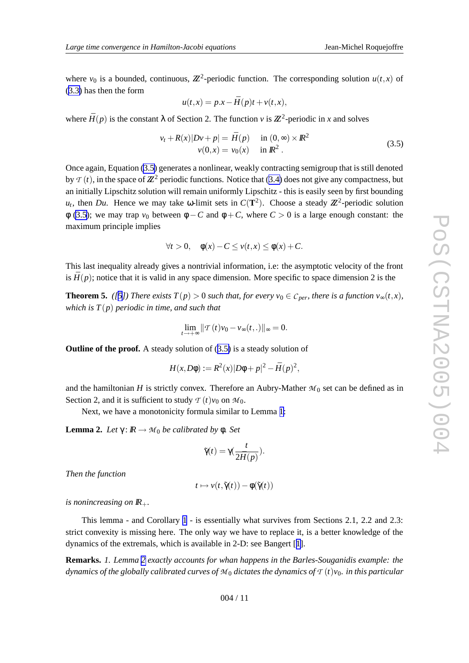where  $v_0$  is a bounded, continuous,  $\mathbb{Z}^2$ -periodic function. The corresponding solution  $u(t,x)$  of ([3.3](#page-9-0) ) has then the form

$$
u(t,x) = p.x - \bar{H}(p)t + v(t,x),
$$

where  $\bar{H}(p)$  is the constant  $\lambda$  of Section 2. The function v is  $\mathbb{Z}^2$ -periodic in x and solves

$$
v_t + R(x)|Dv + p| = \bar{H}(p) \quad \text{in } (0, \infty) \times \mathbb{R}^2
$$
  

$$
v(0, x) = v_0(x) \quad \text{in } \mathbb{R}^2.
$$
 (3.5)

Once again, Equation (3.5 ) generates a nonlinear , weakly contracting semigroup that is still denoted by  $\mathcal{T}(t)$ , in the space of  $\mathbb{Z}^2$  periodic functions. Notice that ([3.4](#page-9-0)) does not give any compactness, but an initially Lipschitz solution will remain uniformly Lipschitz - this is easily seen by first bounding  $u_t$ , then *Du*. Hence we may take  $\omega$ -limit sets in  $C(\mathbf{T}^2)$ . Choose a steady  $\mathbb{Z}^2$ -periodic solution  $\phi$  (3.5); we may trap  $v_0$  between  $\phi - C$  and  $\phi + C$ , where  $C > 0$  is a large enough constant: the maximum principle implies

$$
\forall t > 0, \quad \phi(x) - C \le v(t, x) \le \phi(x) + C.
$$

This last inequality already gi ves a nontrivial information, i.e: the asymptotic velocity of the front is  $\bar{H}(p)$ ; notice that it is valid in any space dimension. More specific to space dimension 2 is the

**Theorem [5](#page-13-0).** ([5]) There exists  $T(p) > 0$  such that, for every  $v_0 \in C_{per}$ , there is a function  $v_\infty(t, x)$ , which is  $T(p)$  periodic in time, and such that

$$
\lim_{t\to+\infty}\|\mathcal{T}(t)v_0-v_\infty(t,.)\|_\infty=0.
$$

**Outline of the proof.** A steady solution of (3.5) is a steady solution of

$$
H(x, D\phi) := R^{2}(x)|D\phi + p|^{2} - \bar{H}(p)^{2},
$$

and the hamiltonian *H* is strictly convex. Therefore an Aubry-Mather  $M_0$  set can be defined as in Section 2, and it is sufficient to study  $\tau(t)v_0$  on  $\mathcal{M}_0$ .

Next, we have a monotonicity formula similar to Lemma [1](#page-5-0):

**Lemma 2.** Let  $\gamma$ :  $\mathbb{R} \to M_0$  be calibrated by φ. Set

$$
\tilde{\gamma}(t)=\gamma(\frac{t}{2\bar{H}(p)}).
$$

*Then the function*

$$
t\mapsto v(t,\tilde{\gamma}(t))-\phi(\tilde{\gamma}(t))
$$

is nonincreasing on  $I\!R_+$ .

This lemma - and Corollary [1](#page-5-0) - is essentially what survives from Sections 2.1, 2.2 and 2.3: strict convexity is missing here. The only way we have to replace it, is a better knowledge of the dynamics of the extremals, which is a vailable in 2-D: see Bangert [[1](#page-12-0)].

**Remarks.** *1. Lemma 2 exactly accounts for whan happens in the Barles-Souganidis example: the* dynamics of the globally calibrated curves of  ${\mathcal M}_0$  dictates the dynamics of  ${\mathcal T}(t) v_0.$  in this particular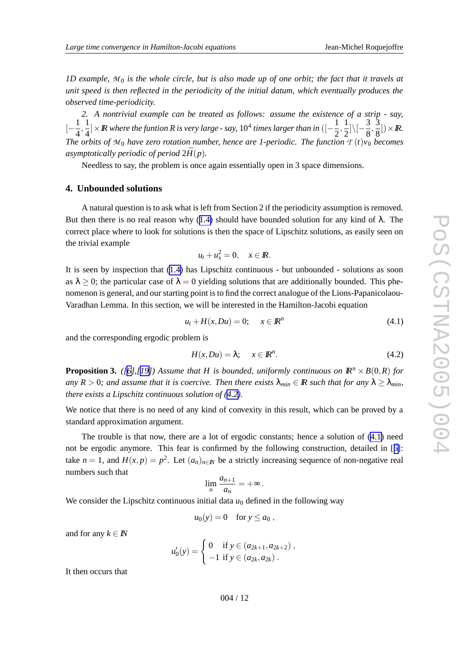<span id="page-11-0"></span>1D example,  $M_0$  is the whole circle, but is also made up of one orbit; the fact that it travels at *unit speed is then reflected in the periodicity of the initial datum, whic h eventually produces the observed time-periodicity.*

*2. A nontrivial example can be treated as follows: assume the existence of a strip - say,*  $[-\frac{1}{4},\frac{1}{4}]\times\mathbb{R}$  where the funtion R is very large - say,  $10^4$  times larger than in  $([-\frac{1}{2},\frac{1}{2}]\setminus[-\frac{3}{8},\frac{3}{8}])\times\mathbb{R}$ . *The orbits of*  $M_0$  *have zero rotation number, hence are 1-periodic. The function*  $T(t)v_0$  *becomes* asymptotically periodic of period  $2\bar{H}(p)$ .

Needless to say , the problem is once again essentially open in 3 space dimensions.

### **4. Unbounded solutions**

A natural question is to ask what is left from Section 2 if the periodicity assumption is removed. But then there is no real reason why  $(1.4)$  $(1.4)$  $(1.4)$  should have bounded solution for any kind of  $\lambda$ . The correct place where to look for solutions is then the space of Lipschitz solutions, as easily seen on the trivial example

$$
u_t + u_x^2 = 0, \quad x \in \mathbb{R}.
$$

It is seen by inspection that [\(1.4](#page-1-0) ) has Lipschitz continuous - but unbounded - solutions as soon as  $\lambda \geq 0$ ; the particular case of  $\lambda = 0$  yielding solutions that are additionally bounded. This phenomenon is general, and our starting point is to find the correct analogue of the Lions-Papanicolaou-Varadhan Lemma. In this section, we will be interested in the Hamilton-Jacobi equation

$$
u_t + H(x, Du) = 0; \quad x \in \mathbb{R}^n \tag{4.1}
$$

and the corresponding ergodic problem is

$$
H(x, Du) = \lambda; \quad x \in \mathbb{R}^n. \tag{4.2}
$$

**Proposition 3.** ([\[6\]](#page-13-0),[[19\]](#page-13-0)) Assume that H is bounded, uniformly continuous on  $\mathbb{R}^n \times B(0,R)$  for any  $R > 0$ ; and assume that it is coercive. Then there exists  $\lambda_{min} \in \mathbb{R}$  such that for any  $\lambda \ge \lambda_{min}$ , *there exists a Lipschitz continuous solution of (4.2).*

We notice that there is no need of any kind of convexity in this result, which can be proved by a standard approximation argument.

The trouble is that now, there are a lot of ergodic constants; hence a solution of (4.1) need not be ergodic anymore. This fear is confirmed by the following construction, detailed in [[6\]](#page-13-0): take  $n = 1$ , and  $H(x, p) = p^2$ . Let  $(a_n)_{n \in \mathbb{N}}$  be a strictly increasing sequence of non-negative real numbers such that

$$
\lim_n \frac{a_{n+1}}{a_n} = +\infty.
$$

We consider the Lipschitz continuous initial data  $u_0$  defined in the following way

$$
u_0(y) = 0 \quad \text{for } y \le a_0,
$$

and for any  $k \in \mathbb{N}$ 

$$
u'_0(y) = \begin{cases} 0 & \text{if } y \in (a_{2k+1}, a_{2k+2}), \\ -1 & \text{if } y \in (a_{2k}, a_{2k}). \end{cases}
$$

It then occurs that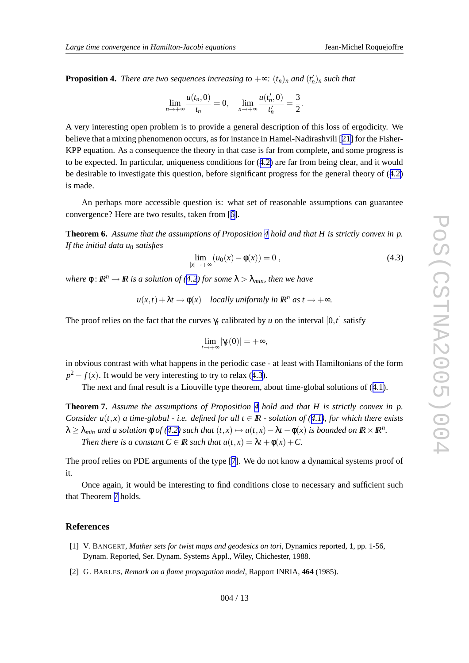<span id="page-12-0"></span>**Proposition 4.** There are two sequences increasing to  $+\infty$ :  $(t_n)_n$  and  $(t'_n)_n$  such that

$$
\lim_{n \to +\infty} \frac{u(t_n, 0)}{t_n} = 0, \quad \lim_{n \to +\infty} \frac{u(t'_n, 0)}{t'_n} = \frac{3}{2}.
$$

A very interesting open problem is to provide a general description of this loss of ergodicity . We believe that a mixing phenomenon occurs, as for instance in Hamel-Nadirashvili [[21](#page-13-0)] for the Fisher-KPP equation. As a consequence the theory in that case is far from complete, and some progress is to be expected. In particular , uniqueness conditions for ([4.2](#page-11-0) ) are far from being clear , and it would be desirable to investigate this question, before significant progress for the general theory of ([4.2](#page-11-0) ) is made.

An perhaps more accessible question is: what set of reasonable assumptions can guarantee convergence? Here are tw o results, taken from [[6\]](#page-13-0).

**Theorem 6.** *Assume that the assumptions of Proposition 4 hold and that H is strictly convex in p. If the initial data u* <sup>0</sup> *satisfies*

$$
\lim_{|x| \to +\infty} (u_0(x) - \phi(x)) = 0,
$$
\n(4.3)

 $w$  *kere*  $\phi$  :  $\mathbb{R}^n \to \mathbb{R}$  *is a solution of* ([4.2](#page-11-0)) *for some*  $\lambda > \lambda_{min}$  *then we have* 

 $u(x,t) + \lambda t \rightarrow \phi(x)$  *locally uniformly in*  $\mathbb{R}^n$  *as*  $t \rightarrow +\infty$ *.* 

The proof relies on the fact that the curves  $\gamma_t$  calibrated by *u* on the interval  $[0, t]$  satisfy

$$
\lim_{t\to+\infty}|\gamma_t(0)|=+\infty
$$

,

in obvious contrast with what happens in the periodic case - at least with Hamiltonians of the form  $p^2 - f(x)$ . It would be very interesting to try to relax (4.3).

The next and final result is a Liouville type theorem, about time-global solutions of ([4.1\)](#page-11-0).

**Theorem 7.** *Assume the assumptions of Proposition 4 hold and that H is strictly convex in p.* Consider  $u(t,x)$  a time-global - i.e. defined for all  $t \in \mathbb{R}$  - solution of ([4.1\)](#page-11-0), for which there exists  $\lambda \geq \lambda_{min}$  and a solution  $\phi$  of [\(4.2](#page-11-0)) such that  $(t, x) \mapsto u(t, x) - \lambda t - \phi(x)$  is bounded on  $\mathbb{R} \times \mathbb{R}^n$ . *Then there is a constant*  $C \in \mathbb{R}$  *such that*  $u(t,x) = \lambda t + \phi(x) + C$ .

The proof relies on PDE arguments of the type [[7](#page-13-0)]. We do not kno w a dynamical systems proof of it.

Once again, it would be interesting to find conditions close to necessary and sufficient such that Theorem 7 holds.

### **References**

- [1] V . B A N G E R T , *Mather sets for twist maps and geodesics on tori* , Dynamics reported, **1** , pp. 1-56, Dynam. Reported, Ser. Dynam. Systems Appl., Wiley, Chichester, 1988.
- [2] G . B A R L E S , *Remark on a flame propagation model* , Rapport INRIA, **464** (1985).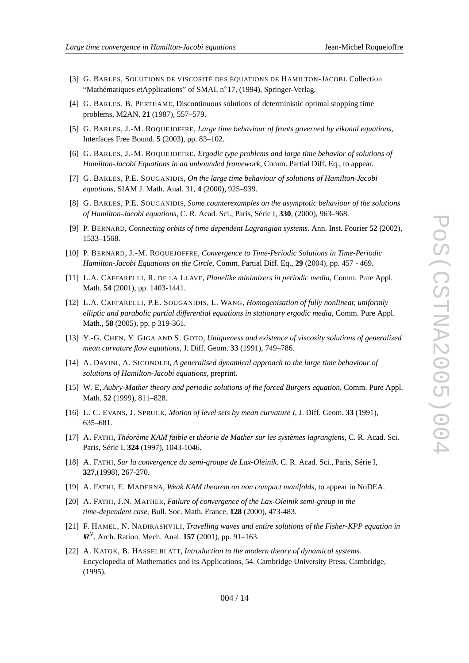- <span id="page-13-0"></span>[3] G. BARLES, SOLUTIONS DE VISCOSITÉ DES ÉQUATIONS DE HAMILTON-JACOBI. Collection "Mathématiques etApplications" of SMAI, n°17, (1994), Springer-Verlag.
- [4] G. BARLES, B. PERTHAME, Discontinuous solutions of deterministic optimal stopping time problems, M2AN, **21** (1987), 557–579.
- [5] G. BARLES, J.-M. ROQUEJOFFRE, Large time behaviour of fronts governed by eikonal equations, Interfaces Free Bound. **5** (2003), pp. 83–102.
- [6] G . B A R L E S , J . M . R O Q U E J OFF R E , *Ergodic type problems and larg e time behavior of solutions of Hamilton-Jacobi Equations in an unbounded framework,* Comm. Partial Diff. Eq., to appear .
- [7] G . B A R L E S , P . E . S O U G A N I D I S , *On the larg e time behaviour of solutions of Hamilton-Jacobi equations,* SIAM J. Math. Anal. 31, **4** (2000), 925–939.
- [8] G . B A R L E S , P . E . S O U G A N I D I S , *Some counterexamples on the asymptotic behaviour of the solutions of Hamilton-Jacobi equations,* C. R. Acad. Sci., Paris, Série I, **330** , (2000), 963–968.
- [9] P . B E R N A R D , *Connecting orbits of time dependent Lagrangian systems.* Ann. Inst. Fourier **52** (2002), 1533–1568.
- [10] P. BERNARD, J.-M. ROQUEJOFFRE, Convergence to Time-Periodic Solutions in Time-Periodic *Hamilton-Jacobi Equations on the Circle* , Comm. Partial Diff. Eq., **29** (2004), pp. 457 - 469.
- [11] L . A . C AFF A R E L L I , R . D E L A L L AV E , *Planelik e minimizers in periodic media* , Comm. Pure Appl. Math. **54** (2001), pp. 1403-1441.
- [12] L.A. CAFFARELLI, P.E. SOUGANIDIS, L. WANG, *Homogenisation of fully nonlinear, uniformly elliptic and parabolic partial differential equations in stationary ergodic media* , Comm. Pure Appl. Math., **58** (2005), pp. p 319-361.
- [13] Y . G . C H E N , Y . G I G A A N D S . G O T O , *Uniqueness and existence of viscosity solutions of generalized mean curvature flow equations* , J. Diff. Geom. **33** (1991), 749–786.
- [14] A . D AV I N I , A . S I C O N O LFI , *A generalised dynamical approac h to the larg e time behaviour of solutions of Hamilton-Jacobi equations,* preprint.
- [15] W . E , *Aubry-Mather theory and periodic solutions of the forced Burgers equation* , Comm. Pure Appl. Math. **52** (1999), 811–828.
- [16] L . C . E VA N S , J . S P R U C K , *Motion of level sets by mean curvature I* , J. Diff. Geom. **33** (1991), 635–681.
- [17] A . F AT H I , *Théorème KAM faible et théorie de Mather sur les systèmes lagrangiens,* C. R. Acad. Sci. Paris, Série I, **324** (1997), 1043-1046.
- [18] A . F AT H I , *Sur la convergence du semi-groupe de Lax-Oleinik.* C. R. Acad. Sci., Paris, Série I, **327**,(1998), 267-270.
- [19] A . F AT H I , E . M A D E R N A , *Weak KAM theorem on non compact manifolds* , to appear in NoDEA.
- [20] A . F AT H I , J . N . M AT H E R , *Failure of convergence of the Lax-Oleinik semi-group in the time-dependent case ,* Bull. Soc. Math. France, **128** (2000), 473-483.
- [21] F . H A M E L , N . N A D I R A S H V I L I , *Travelling waves and entire solutions of the Fisher-KPP equation in IR N* , Arch. Ration. Mech. Anal. **157** (2001), pp. 91–163.
- [22] A. KATOK, B. HASSELBLATT, *Introduction to the modern theory of dynamical systems.* Encyclopedia of Mathematics and its Applications, 54. Cambridge Uni versity Press, Cambridge, (1995).